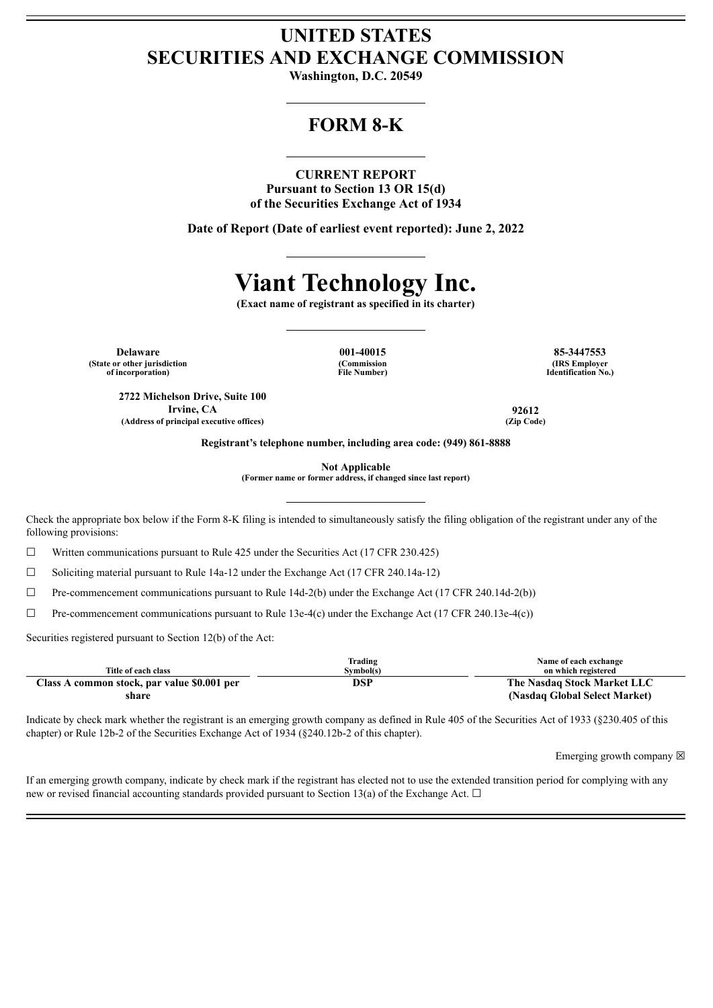## **UNITED STATES SECURITIES AND EXCHANGE COMMISSION**

**Washington, D.C. 20549**

## **FORM 8-K**

#### **CURRENT REPORT**

**Pursuant to Section 13 OR 15(d) of the Securities Exchange Act of 1934**

**Date of Report (Date of earliest event reported): June 2, 2022**

# **Viant Technology Inc.**

**(Exact name of registrant as specified in its charter)**

**Delaware 001-40015 85-3447553 (State or other jurisdiction of incorporation)**

**(Commission File Number)**

**(IRS Employer Identification No.)**

**2722 Michelson Drive, Suite 100 Irvine, CA 92612 (Address of principal executive offices) (Zip Code)**

**Registrant's telephone number, including area code: (949) 861-8888**

**Not Applicable**

**(Former name or former address, if changed since last report)**

Check the appropriate box below if the Form 8-K filing is intended to simultaneously satisfy the filing obligation of the registrant under any of the following provisions:

 $\Box$  Written communications pursuant to Rule 425 under the Securities Act (17 CFR 230.425)

☐ Soliciting material pursuant to Rule 14a-12 under the Exchange Act (17 CFR 240.14a-12)

 $\Box$  Pre-commencement communications pursuant to Rule 14d-2(b) under the Exchange Act (17 CFR 240.14d-2(b))

 $\Box$  Pre-commencement communications pursuant to Rule 13e-4(c) under the Exchange Act (17 CFR 240.13e-4(c))

Securities registered pursuant to Section 12(b) of the Act:

| Title of each class                         | Trading<br>Symbol(s) | Name of each exchange<br>on which registered |
|---------------------------------------------|----------------------|----------------------------------------------|
| Class A common stock, par value \$0.001 per | DSP                  | The Nasdaq Stock Market LLC                  |
| share                                       |                      | (Nasdaq Global Select Market)                |

Indicate by check mark whether the registrant is an emerging growth company as defined in Rule 405 of the Securities Act of 1933 (§230.405 of this chapter) or Rule 12b-2 of the Securities Exchange Act of 1934 (§240.12b-2 of this chapter).

Emerging growth company  $\boxtimes$ 

If an emerging growth company, indicate by check mark if the registrant has elected not to use the extended transition period for complying with any new or revised financial accounting standards provided pursuant to Section 13(a) of the Exchange Act.  $\Box$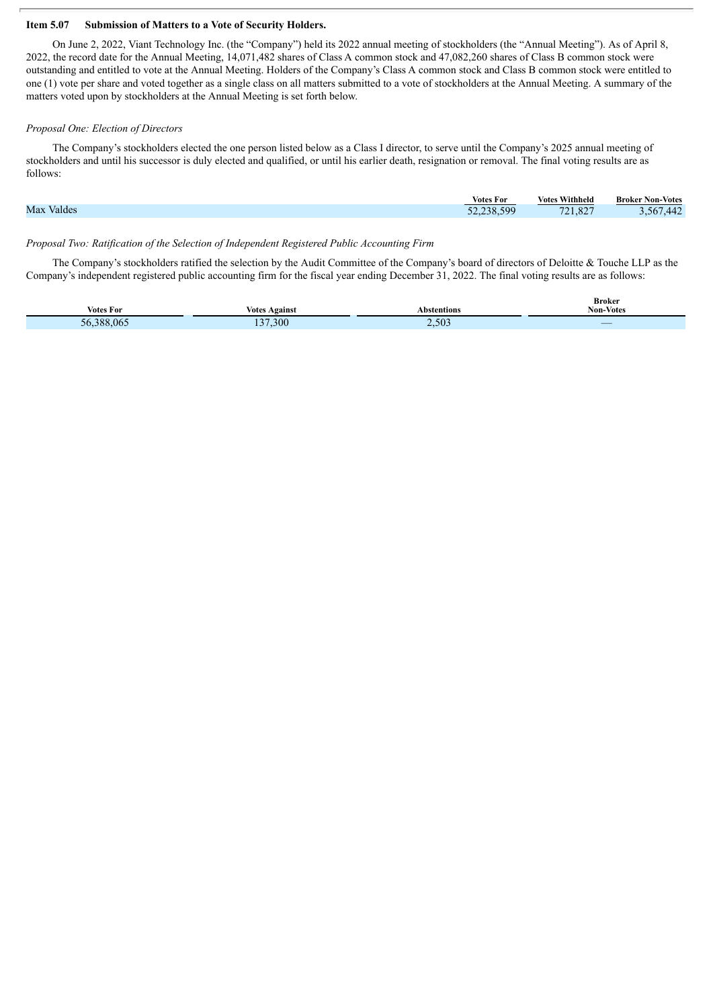#### **Item 5.07 Submission of Matters to a Vote of Security Holders.**

On June 2, 2022, Viant Technology Inc. (the "Company") held its 2022 annual meeting of stockholders (the "Annual Meeting"). As of April 8, 2022, the record date for the Annual Meeting, 14,071,482 shares of Class A common stock and 47,082,260 shares of Class B common stock were outstanding and entitled to vote at the Annual Meeting. Holders of the Company's Class A common stock and Class B common stock were entitled to one (1) vote per share and voted together as a single class on all matters submitted to a vote of stockholders at the Annual Meeting. A summary of the matters voted upon by stockholders at the Annual Meeting is set forth below.

#### *Proposal One: Election of Directors*

The Company's stockholders elected the one person listed below as a Class I director, to serve until the Company's 2025 annual meeting of stockholders and until his successor is duly elected and qualified, or until his earlier death, resignation or removal. The final voting results are as follows:

|            | <b>Votes For</b> | . Withheld<br><b>Votes</b> | <b>Broker Non-Votes</b> |
|------------|------------------|----------------------------|-------------------------|
| Max Valdes | 52.238.599       | 721,82<br>027              | .442<br>-567            |
|            |                  |                            |                         |

#### *Proposal Two: Ratification of the Selection of Independent Registered Public Accounting Firm*

The Company's stockholders ratified the selection by the Audit Committee of the Company's board of directors of Deloitte & Touche LLP as the Company's independent registered public accounting firm for the fiscal year ending December 31, 2022. The final voting results are as follows:

| Votes For                                            | Votes<br>Againsu | Abstentions | -------<br>$\rightarrow$<br>Non-<br>- Votes<br>.                                                                           |
|------------------------------------------------------|------------------|-------------|----------------------------------------------------------------------------------------------------------------------------|
| $\cdot$ $\cdot$ $\cdot$ $\circ$ $\circ$<br>١h<br>vv. | 37.300           | 2.503       | _<br><b>Contract Contract Contract Contract Contract Contract Contract Contract Contract Contract Contract Contract Co</b> |

**Broker**